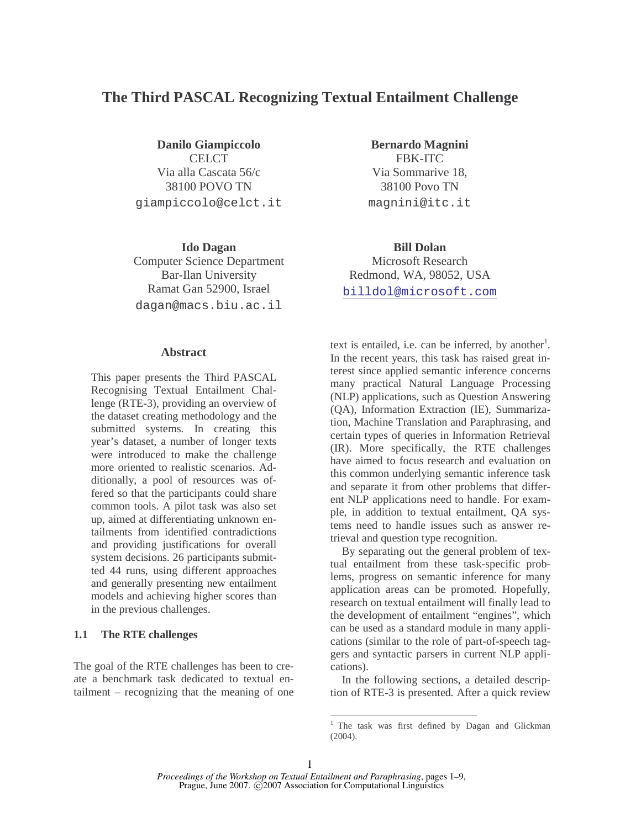# **The Third PASCAL Recognizing Textual Entailment Challenge**

**Danilo Giampiccolo**  CELCT<sub>1</sub> Via alla Cascata 56/c 38100 POVO TN giampiccolo@celct.it

**Ido Dagan**  Computer Science Department Bar-Ilan University Ramat Gan 52900, Israel dagan@macs.biu.ac.il

### **Abstract**

This paper presents the Third PASCAL Recognising Textual Entailment Challenge (RTE-3), providing an overview of the dataset creating methodology and the submitted systems. In creating this year's dataset, a number of longer texts were introduced to make the challenge more oriented to realistic scenarios. Additionally, a pool of resources was offered so that the participants could share common tools. A pilot task was also set up, aimed at differentiating unknown entailments from identified contradictions and providing justifications for overall system decisions. 26 participants submitted 44 runs, using different approaches and generally presenting new entailment models and achieving higher scores than in the previous challenges.

#### **1.1 The RTE challenges**

The goal of the RTE challenges has been to create a benchmark task dedicated to textual entailment – recognizing that the meaning of one

**Bernardo Magnini**  FBK-ITC Via Sommarive 18, 38100 Povo TN magnini@itc.it

**Bill Dolan**  Microsoft Research Redmond, WA, 98052, USA billdol@microsoft.com

text is entailed, i.e. can be inferred, by another<sup>1</sup>. In the recent years, this task has raised great interest since applied semantic inference concerns many practical Natural Language Processing (NLP) applications, such as Question Answering (QA), Information Extraction (IE), Summarization, Machine Translation and Paraphrasing, and certain types of queries in Information Retrieval (IR). More specifically, the RTE challenges have aimed to focus research and evaluation on this common underlying semantic inference task and separate it from other problems that different NLP applications need to handle. For example, in addition to textual entailment, QA systems need to handle issues such as answer retrieval and question type recognition.

By separating out the general problem of textual entailment from these task-specific problems, progress on semantic inference for many application areas can be promoted. Hopefully, research on textual entailment will finally lead to the development of entailment "engines", which can be used as a standard module in many applications (similar to the role of part-of-speech taggers and syntactic parsers in current NLP applications).

In the following sections, a detailed description of RTE-3 is presented. After a quick review

**T**<br>
<sup>1</sup> The task was first defined by Dagan and Glickman (2004).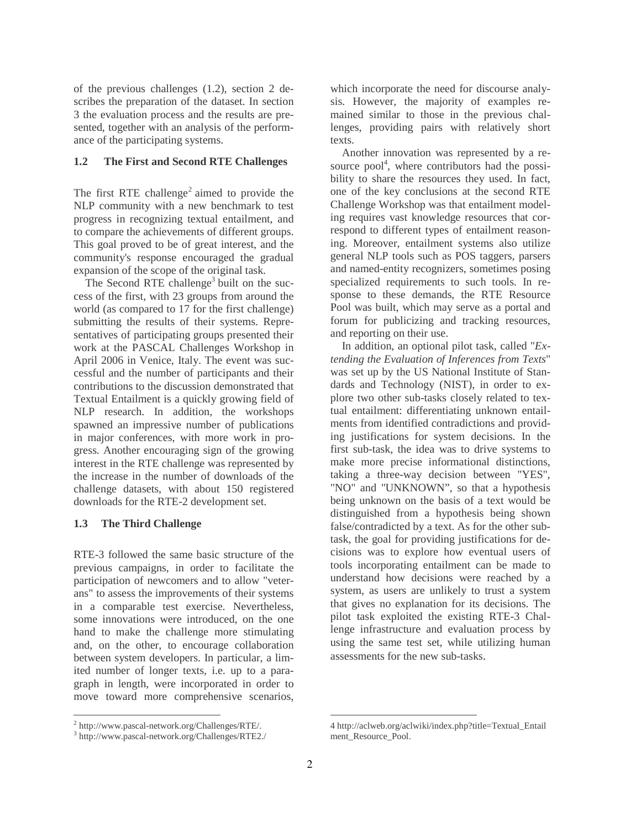of the previous challenges (1.2), section 2 describes the preparation of the dataset. In section 3 the evaluation process and the results are presented, together with an analysis of the performance of the participating systems.

## **1.2 The First and Second RTE Challenges**

The first RTE challenge<sup>2</sup> aimed to provide the NLP community with a new benchmark to test progress in recognizing textual entailment, and to compare the achievements of different groups. This goal proved to be of great interest, and the community's response encouraged the gradual expansion of the scope of the original task.

The Second RTE challenge<sup>3</sup> built on the success of the first, with 23 groups from around the world (as compared to 17 for the first challenge) submitting the results of their systems. Representatives of participating groups presented their work at the PASCAL Challenges Workshop in April 2006 in Venice, Italy. The event was successful and the number of participants and their contributions to the discussion demonstrated that Textual Entailment is a quickly growing field of NLP research. In addition, the workshops spawned an impressive number of publications in major conferences, with more work in progress. Another encouraging sign of the growing interest in the RTE challenge was represented by the increase in the number of downloads of the challenge datasets, with about 150 registered downloads for the RTE-2 development set.

## **1.3 The Third Challenge**

RTE-3 followed the same basic structure of the previous campaigns, in order to facilitate the participation of newcomers and to allow "veterans" to assess the improvements of their systems in a comparable test exercise. Nevertheless, some innovations were introduced, on the one hand to make the challenge more stimulating and, on the other, to encourage collaboration between system developers. In particular, a limited number of longer texts, i.e. up to a paragraph in length, were incorporated in order to move toward more comprehensive scenarios, which incorporate the need for discourse analysis. However, the majority of examples remained similar to those in the previous challenges, providing pairs with relatively short texts.

Another innovation was represented by a resource pool<sup>4</sup>, where contributors had the possibility to share the resources they used. In fact, one of the key conclusions at the second RTE Challenge Workshop was that entailment modeling requires vast knowledge resources that correspond to different types of entailment reasoning. Moreover, entailment systems also utilize general NLP tools such as POS taggers, parsers and named-entity recognizers, sometimes posing specialized requirements to such tools. In response to these demands, the RTE Resource Pool was built, which may serve as a portal and forum for publicizing and tracking resources, and reporting on their use.

In addition, an optional pilot task, called "*Extending the Evaluation of Inferences from Texts*" was set up by the US National Institute of Standards and Technology (NIST), in order to explore two other sub-tasks closely related to textual entailment: differentiating unknown entailments from identified contradictions and providing justifications for system decisions. In the first sub-task, the idea was to drive systems to make more precise informational distinctions, taking a three-way decision between "YES", "NO" and "UNKNOWN", so that a hypothesis being unknown on the basis of a text would be distinguished from a hypothesis being shown false/contradicted by a text. As for the other subtask, the goal for providing justifications for decisions was to explore how eventual users of tools incorporating entailment can be made to understand how decisions were reached by a system, as users are unlikely to trust a system that gives no explanation for its decisions. The pilot task exploited the existing RTE-3 Challenge infrastructure and evaluation process by using the same test set, while utilizing human assessments for the new sub-tasks.

<sup>2</sup> http://www.pascal-network.org/Challenges/RTE/.

<sup>3</sup> http://www.pascal-network.org/Challenges/RTE2./

 4 http://aclweb.org/aclwiki/index.php?title=Textual\_Entail ment\_Resource\_Pool.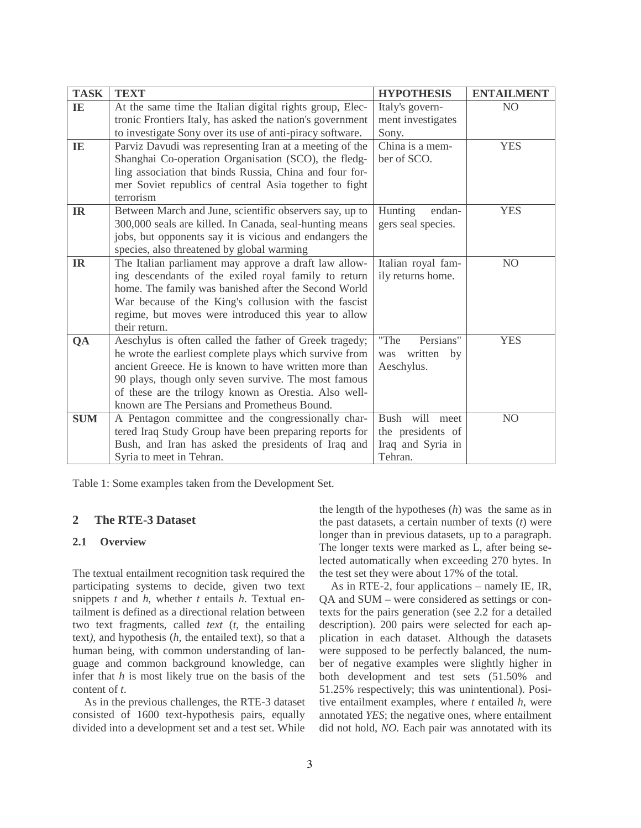| <b>TASK</b> | <b>TEXT</b>                                                                                                      | <b>HYPOTHESIS</b>  | <b>ENTAILMENT</b> |
|-------------|------------------------------------------------------------------------------------------------------------------|--------------------|-------------------|
| IE          | At the same time the Italian digital rights group, Elec-                                                         | Italy's govern-    | N <sub>O</sub>    |
|             | tronic Frontiers Italy, has asked the nation's government                                                        | ment investigates  |                   |
|             | to investigate Sony over its use of anti-piracy software.                                                        | Sony.              |                   |
| IE          | Parviz Davudi was representing Iran at a meeting of the                                                          | China is a mem-    | <b>YES</b>        |
|             | Shanghai Co-operation Organisation (SCO), the fledg-                                                             | ber of SCO.        |                   |
|             | ling association that binds Russia, China and four for-                                                          |                    |                   |
|             | mer Soviet republics of central Asia together to fight                                                           |                    |                   |
|             | terrorism                                                                                                        |                    |                   |
| <b>IR</b>   | Between March and June, scientific observers say, up to                                                          | Hunting<br>endan-  | <b>YES</b>        |
|             | 300,000 seals are killed. In Canada, seal-hunting means                                                          | gers seal species. |                   |
|             | jobs, but opponents say it is vicious and endangers the                                                          |                    |                   |
|             | species, also threatened by global warming                                                                       |                    |                   |
| <b>IR</b>   | The Italian parliament may approve a draft law allow-                                                            | Italian royal fam- | N <sub>O</sub>    |
|             | ing descendants of the exiled royal family to return                                                             | ily returns home.  |                   |
|             | home. The family was banished after the Second World                                                             |                    |                   |
|             | War because of the King's collusion with the fascist                                                             |                    |                   |
|             | regime, but moves were introduced this year to allow                                                             |                    |                   |
|             | their return.                                                                                                    | Persians"<br>"The  |                   |
| QA          | Aeschylus is often called the father of Greek tragedy;                                                           | written<br>was     | <b>YES</b>        |
|             | he wrote the earliest complete plays which survive from<br>ancient Greece. He is known to have written more than | by<br>Aeschylus.   |                   |
|             | 90 plays, though only seven survive. The most famous                                                             |                    |                   |
|             | of these are the trilogy known as Orestia. Also well-                                                            |                    |                   |
|             | known are The Persians and Prometheus Bound.                                                                     |                    |                   |
| <b>SUM</b>  | A Pentagon committee and the congressionally char-                                                               | Bush will meet     | N <sub>O</sub>    |
|             | tered Iraq Study Group have been preparing reports for                                                           | the presidents of  |                   |
|             | Bush, and Iran has asked the presidents of Iraq and                                                              | Iraq and Syria in  |                   |
|             | Syria to meet in Tehran.                                                                                         | Tehran.            |                   |
|             |                                                                                                                  |                    |                   |

Table 1: Some examples taken from the Development Set.

## **2 The RTE-3 Dataset**

## **2.1 Overview**

The textual entailment recognition task required the participating systems to decide, given two text snippets *t* and *h*, whether *t* entails *h*. Textual entailment is defined as a directional relation between two text fragments*,* called *text* (*t*, the entailing text*)*, and hypothesis (*h,* the entailed text), so that a human being, with common understanding of language and common background knowledge, can infer that *h* is most likely true on the basis of the content of *t*.

As in the previous challenges, the RTE-3 dataset consisted of 1600 text-hypothesis pairs, equally divided into a development set and a test set. While

the length of the hypotheses (*h*) was the same as in the past datasets, a certain number of texts (*t*) were longer than in previous datasets, up to a paragraph. The longer texts were marked as L, after being selected automatically when exceeding 270 bytes. In the test set they were about 17% of the total.

As in RTE-2, four applications – namely IE, IR, QA and SUM – were considered as settings or contexts for the pairs generation (see 2.2 for a detailed description). 200 pairs were selected for each application in each dataset. Although the datasets were supposed to be perfectly balanced, the number of negative examples were slightly higher in both development and test sets (51.50% and 51.25% respectively; this was unintentional). Positive entailment examples, where *t* entailed *h*, were annotated *YES*; the negative ones, where entailment did not hold, *NO.* Each pair was annotated with its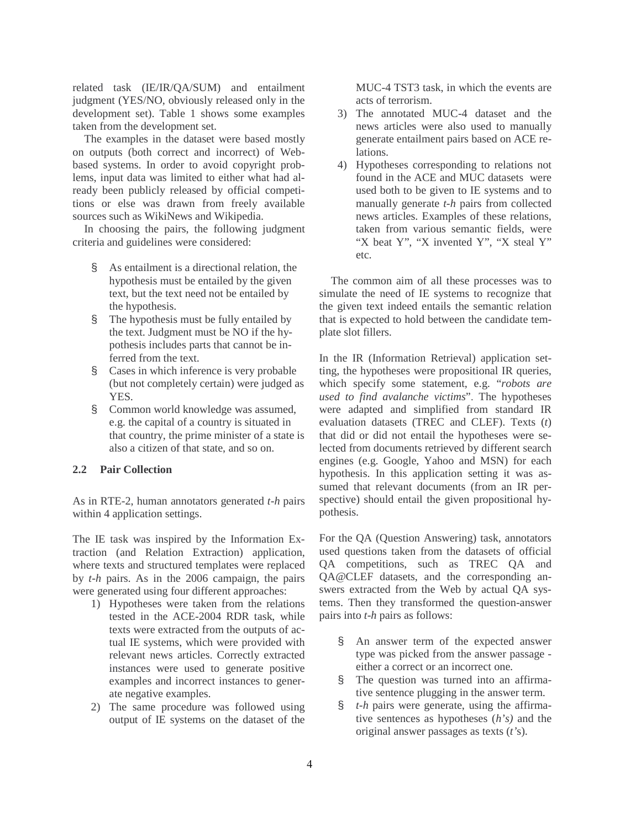related task (IE/IR/QA/SUM) and entailment judgment (YES/NO, obviously released only in the development set). Table 1 shows some examples taken from the development set.

The examples in the dataset were based mostly on outputs (both correct and incorrect) of Webbased systems. In order to avoid copyright problems, input data was limited to either what had already been publicly released by official competitions or else was drawn from freely available sources such as WikiNews and Wikipedia.

In choosing the pairs, the following judgment criteria and guidelines were considered:

- § As entailment is a directional relation, the hypothesis must be entailed by the given text, but the text need not be entailed by the hypothesis.
- § The hypothesis must be fully entailed by the text. Judgment must be NO if the hypothesis includes parts that cannot be inferred from the text.
- § Cases in which inference is very probable (but not completely certain) were judged as YES.
- § Common world knowledge was assumed, e.g. the capital of a country is situated in that country, the prime minister of a state is also a citizen of that state, and so on.

#### **2.2 Pair Collection**

As in RTE-2, human annotators generated *t-h* pairs within 4 application settings.

The IE task was inspired by the Information Extraction (and Relation Extraction) application, where texts and structured templates were replaced by *t-h* pairs. As in the 2006 campaign, the pairs were generated using four different approaches:

- 1) Hypotheses were taken from the relations tested in the ACE-2004 RDR task, while texts were extracted from the outputs of actual IE systems, which were provided with relevant news articles. Correctly extracted instances were used to generate positive examples and incorrect instances to generate negative examples.
- 2) The same procedure was followed using output of IE systems on the dataset of the

MUC-4 TST3 task, in which the events are acts of terrorism.

- 3) The annotated MUC-4 dataset and the news articles were also used to manually generate entailment pairs based on ACE relations.
- 4) Hypotheses corresponding to relations not found in the ACE and MUC datasets were used both to be given to IE systems and to manually generate *t-h* pairs from collected news articles. Examples of these relations, taken from various semantic fields, were "X beat Y", "X invented Y", "X steal Y" etc.

The common aim of all these processes was to simulate the need of IE systems to recognize that the given text indeed entails the semantic relation that is expected to hold between the candidate template slot fillers.

In the IR (Information Retrieval) application setting, the hypotheses were propositional IR queries, which specify some statement, e.g. "*robots are used to find avalanche victims*". The hypotheses were adapted and simplified from standard IR evaluation datasets (TREC and CLEF). Texts (*t*) that did or did not entail the hypotheses were selected from documents retrieved by different search engines (e.g. Google, Yahoo and MSN) for each hypothesis. In this application setting it was assumed that relevant documents (from an IR perspective) should entail the given propositional hypothesis.

For the QA (Question Answering) task, annotators used questions taken from the datasets of official QA competitions, such as TREC QA and QA@CLEF datasets, and the corresponding answers extracted from the Web by actual QA systems. Then they transformed the question-answer pairs into *t-h* pairs as follows:

- § An answer term of the expected answer type was picked from the answer passage either a correct or an incorrect one.
- § The question was turned into an affirmative sentence plugging in the answer term.
- § *t-h* pairs were generate, using the affirmative sentences as hypotheses (*h's)* and the original answer passages as texts (*t'*s).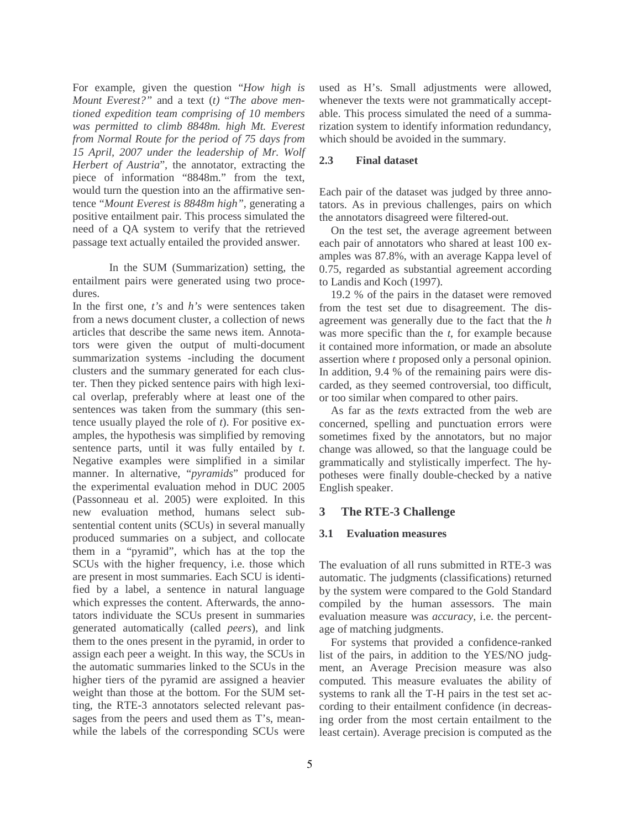For example, given the question "*How high is Mount Everest?"* and a text (*t)* "*The above mentioned expedition team comprising of 10 members was permitted to climb 8848m. high Mt. Everest from Normal Route for the period of 75 days from 15 April, 2007 under the leadership of Mr. Wolf Herbert of Austria*"*,* the annotator, extracting the piece of information "8848m." from the text, would turn the question into an the affirmative sentence "*Mount Everest is 8848m high"*, generating a positive entailment pair. This process simulated the need of a QA system to verify that the retrieved passage text actually entailed the provided answer.

In the SUM (Summarization) setting, the entailment pairs were generated using two procedures.

In the first one, *t's* and *h's* were sentences taken from a news document cluster, a collection of news articles that describe the same news item. Annotators were given the output of multi-document summarization systems -including the document clusters and the summary generated for each cluster. Then they picked sentence pairs with high lexical overlap, preferably where at least one of the sentences was taken from the summary (this sentence usually played the role of *t*). For positive examples, the hypothesis was simplified by removing sentence parts, until it was fully entailed by *t*. Negative examples were simplified in a similar manner. In alternative, "*pyramids*" produced for the experimental evaluation mehod in DUC 2005 (Passonneau et al. 2005) were exploited. In this new evaluation method, humans select subsentential content units (SCUs) in several manually produced summaries on a subject, and collocate them in a "pyramid", which has at the top the SCUs with the higher frequency, i.e. those which are present in most summaries. Each SCU is identified by a label, a sentence in natural language which expresses the content. Afterwards, the annotators individuate the SCUs present in summaries generated automatically (called *peers*), and link them to the ones present in the pyramid, in order to assign each peer a weight. In this way, the SCUs in the automatic summaries linked to the SCUs in the higher tiers of the pyramid are assigned a heavier weight than those at the bottom. For the SUM setting, the RTE-3 annotators selected relevant passages from the peers and used them as T's, meanwhile the labels of the corresponding SCUs were

used as H's. Small adjustments were allowed, whenever the texts were not grammatically acceptable. This process simulated the need of a summarization system to identify information redundancy, which should be avoided in the summary.

### **2.3 Final dataset**

Each pair of the dataset was judged by three annotators. As in previous challenges, pairs on which the annotators disagreed were filtered-out.

On the test set, the average agreement between each pair of annotators who shared at least 100 examples was 87.8%, with an average Kappa level of 0.75, regarded as substantial agreement according to Landis and Koch (1997).

19.2 % of the pairs in the dataset were removed from the test set due to disagreement. The disagreement was generally due to the fact that the *h* was more specific than the *t*, for example because it contained more information, or made an absolute assertion where *t* proposed only a personal opinion. In addition, 9.4 % of the remaining pairs were discarded, as they seemed controversial, too difficult, or too similar when compared to other pairs.

As far as the *texts* extracted from the web are concerned, spelling and punctuation errors were sometimes fixed by the annotators, but no major change was allowed, so that the language could be grammatically and stylistically imperfect. The hypotheses were finally double-checked by a native English speaker.

## **3 The RTE-3 Challenge**

#### **3.1 Evaluation measures**

The evaluation of all runs submitted in RTE-3 was automatic. The judgments (classifications) returned by the system were compared to the Gold Standard compiled by the human assessors. The main evaluation measure was *accuracy,* i.e. the percentage of matching judgments.

For systems that provided a confidence-ranked list of the pairs, in addition to the YES/NO judgment, an Average Precision measure was also computed. This measure evaluates the ability of systems to rank all the T-H pairs in the test set according to their entailment confidence (in decreasing order from the most certain entailment to the least certain). Average precision is computed as the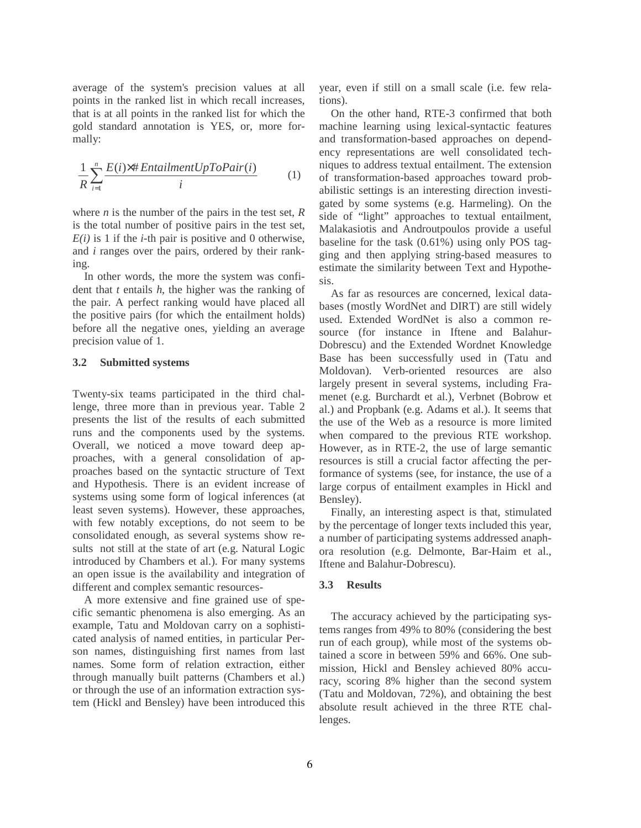average of the system's precision values at all points in the ranked list in which recall increases, that is at all points in the ranked list for which the gold standard annotation is YES, or, more formally:

$$
\frac{1}{R}\sum_{i=1}^{n}\frac{E(i)\times\# EntailmentUpToPair(i)}{i}
$$
 (1)

where *n* is the number of the pairs in the test set, *R* is the total number of positive pairs in the test set,  $E(i)$  is 1 if the *i*-th pair is positive and 0 otherwise, and *i* ranges over the pairs, ordered by their ranking.

In other words, the more the system was confident that *t* entails *h*, the higher was the ranking of the pair. A perfect ranking would have placed all the positive pairs (for which the entailment holds) before all the negative ones, yielding an average precision value of 1.

## **3.2 Submitted systems**

Twenty-six teams participated in the third challenge, three more than in previous year. Table 2 presents the list of the results of each submitted runs and the components used by the systems. Overall, we noticed a move toward deep approaches, with a general consolidation of approaches based on the syntactic structure of Text and Hypothesis. There is an evident increase of systems using some form of logical inferences (at least seven systems). However, these approaches, with few notably exceptions, do not seem to be consolidated enough, as several systems show results not still at the state of art (e.g. Natural Logic introduced by Chambers et al.). For many systems an open issue is the availability and integration of different and complex semantic resources-

A more extensive and fine grained use of specific semantic phenomena is also emerging. As an example, Tatu and Moldovan carry on a sophisticated analysis of named entities, in particular Person names, distinguishing first names from last names. Some form of relation extraction, either through manually built patterns (Chambers et al.) or through the use of an information extraction system (Hickl and Bensley) have been introduced this

year, even if still on a small scale (i.e. few relations).

On the other hand, RTE-3 confirmed that both machine learning using lexical-syntactic features and transformation-based approaches on dependency representations are well consolidated techniques to address textual entailment. The extension of transformation-based approaches toward probabilistic settings is an interesting direction investigated by some systems (e.g. Harmeling). On the side of "light" approaches to textual entailment, Malakasiotis and Androutpoulos provide a useful baseline for the task (0.61%) using only POS tagging and then applying string-based measures to estimate the similarity between Text and Hypothesis.

As far as resources are concerned, lexical databases (mostly WordNet and DIRT) are still widely used. Extended WordNet is also a common resource (for instance in Iftene and Balahur-Dobrescu) and the Extended Wordnet Knowledge Base has been successfully used in (Tatu and Moldovan). Verb-oriented resources are also largely present in several systems, including Framenet (e.g. Burchardt et al.), Verbnet (Bobrow et al.) and Propbank (e.g. Adams et al.). It seems that the use of the Web as a resource is more limited when compared to the previous RTE workshop. However, as in RTE-2, the use of large semantic resources is still a crucial factor affecting the performance of systems (see, for instance, the use of a large corpus of entailment examples in Hickl and Bensley).

Finally, an interesting aspect is that, stimulated by the percentage of longer texts included this year, a number of participating systems addressed anaphora resolution (e.g. Delmonte, Bar-Haim et al., Iftene and Balahur-Dobrescu).

#### **3.3 Results**

The accuracy achieved by the participating systems ranges from 49% to 80% (considering the best run of each group), while most of the systems obtained a score in between 59% and 66%. One submission, Hickl and Bensley achieved 80% accuracy, scoring 8% higher than the second system (Tatu and Moldovan, 72%), and obtaining the best absolute result achieved in the three RTE challenges.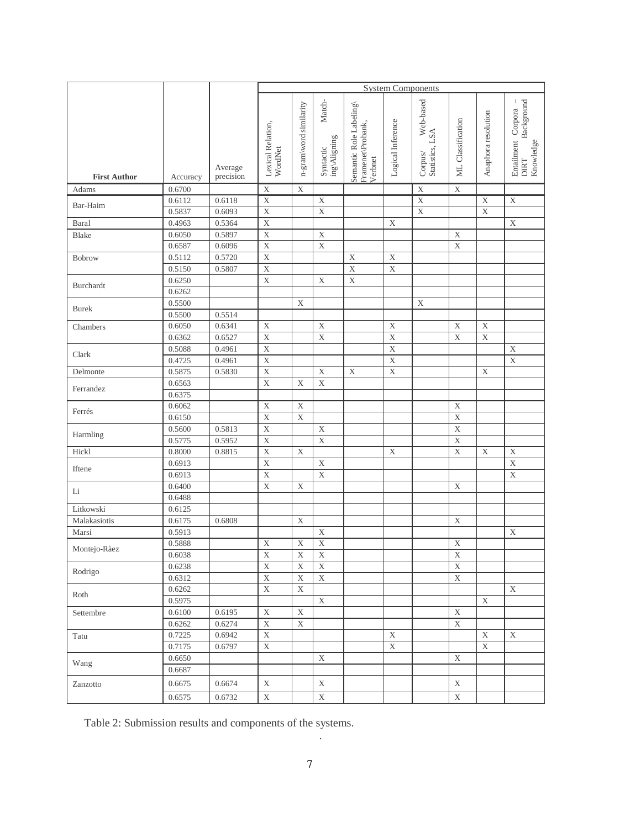|                     |                  |                  | <b>System Components</b>             |                         |                                                        |                                                        |                   |                                         |                         |                          |                                                              |
|---------------------|------------------|------------------|--------------------------------------|-------------------------|--------------------------------------------------------|--------------------------------------------------------|-------------------|-----------------------------------------|-------------------------|--------------------------|--------------------------------------------------------------|
|                     |                  | Average          | Lexical Relation,<br>WordNet         | n-gram\word similarity  | $\mathbf{Match}$ -<br>$ing\Delta$ ligning<br>Syntactic | Semantic Role Labeling<br>Framenet\Probank,<br>Verbnet | Logical Inference | Web-based<br>Statistics, LSA<br>Corpus/ | ML Classification       | Anaphora resolution      | Background<br>Entailment Corpora<br>Knowledge<br><b>DIRT</b> |
| <b>First Author</b> | Accuracy         | precision        |                                      |                         |                                                        |                                                        |                   |                                         |                         |                          |                                                              |
| Adams               | 0.6700           |                  | $\mathbf X$                          | $\mathbf X$             |                                                        |                                                        |                   | $\mathbf X$                             | $\mathbf X$             |                          |                                                              |
| Bar-Haim            | 0.6112<br>0.5837 | 0.6118<br>0.6093 | $\overline{\textbf{X}}$<br>$\bar{X}$ |                         | $\mathbf X$<br>$\mathbf X$                             |                                                        |                   | $\mathbf X$<br>$\mathbf X$              |                         | $\mathbf X$<br>$\bar{X}$ | $\mathbf X$                                                  |
| Baral               | 0.4963           | 0.5364           | $\bar{X}$                            |                         |                                                        |                                                        | $\mathbf X$       |                                         |                         |                          | $\mathbf X$                                                  |
| <b>Blake</b>        | 0.6050           | 0.5897           | $\bar{X}$                            |                         | $\rm X$                                                |                                                        |                   |                                         | X                       |                          |                                                              |
|                     | 0.6587           | 0.6096           | $\bar{X}$                            |                         | $\mathbf X$                                            |                                                        |                   |                                         | $\mathbf X$             |                          |                                                              |
| <b>Bobrow</b>       | 0.5112           | 0.5720           | $\overline{\textbf{X}}$              |                         |                                                        | $\mathbf X$                                            | $\mathbf X$       |                                         |                         |                          |                                                              |
|                     | 0.5150           | 0.5807           | $\mathbf X$                          |                         |                                                        | $\mathbf X$                                            | $\mathbf X$       |                                         |                         |                          |                                                              |
|                     | 0.6250           |                  | $\bar{X}$                            |                         | $\mathbf X$                                            | $\overline{\mathbf{X}}$                                |                   |                                         |                         |                          |                                                              |
| <b>Burchardt</b>    | 0.6262           |                  |                                      |                         |                                                        |                                                        |                   |                                         |                         |                          |                                                              |
|                     | 0.5500           |                  |                                      | $\mathbf X$             |                                                        |                                                        |                   | $\mathbf X$                             |                         |                          |                                                              |
| <b>Burek</b>        | 0.5500           | 0.5514           |                                      |                         |                                                        |                                                        |                   |                                         |                         |                          |                                                              |
| Chambers            | 0.6050           | 0.6341           | X                                    |                         | $\mathbf X$                                            |                                                        | $\mathbf X$       |                                         | $\mathbf X$             | X                        |                                                              |
|                     | 0.6362           | 0.6527           | $\mathbf X$                          |                         | $\mathbf X$                                            |                                                        | $\mathbf X$       |                                         | $\boldsymbol{X}$        | $\mathbf X$              |                                                              |
| Clark               | 0.5088           | 0.4961           | $\overline{X}$                       |                         |                                                        |                                                        | $\overline{X}$    |                                         |                         |                          | $\mathbf X$                                                  |
|                     | 0.4725           | 0.4961           | $\bar{X}$                            |                         |                                                        |                                                        | $\mathbf X$       |                                         |                         |                          | $\overline{X}$                                               |
| Delmonte            | 0.5875           | 0.5830           | X                                    |                         | $\mathbf X$                                            | $\mathbf X$                                            | $\mathbf X$       |                                         |                         | X                        |                                                              |
| Ferrandez           | 0.6563           |                  | $\bar{X}$                            | X                       | $\mathbf X$                                            |                                                        |                   |                                         |                         |                          |                                                              |
|                     | 0.6375           |                  |                                      |                         |                                                        |                                                        |                   |                                         |                         |                          |                                                              |
| Ferrés              | 0.6062           |                  | $\mathbf X$                          | $\mathbf X$             |                                                        |                                                        |                   |                                         | X                       |                          |                                                              |
|                     | 0.6150           |                  | $\bar{X}$                            | $\mathbf X$             |                                                        |                                                        |                   |                                         | $\mathbf X$             |                          |                                                              |
| Harmling            | 0.5600           | 0.5813           | $\bar{X}$                            |                         | $\mathbf X$                                            |                                                        |                   |                                         | $\mathbf X$             |                          |                                                              |
|                     | 0.5775           | 0.5952           | $\mathbf X$                          |                         | $\mathbf X$                                            |                                                        |                   |                                         | X                       |                          |                                                              |
| Hickl               | 0.8000           | 0.8815           | $\bar{X}$                            | $\mathbf X$             |                                                        |                                                        | $\mathbf X$       |                                         | $\mathbf X$             | X                        | $\mathbf X$                                                  |
| Iftene              | 0.6913           |                  | $\mathbf X$                          |                         | $\mathbf X$                                            |                                                        |                   |                                         |                         |                          | $\mathbf X$                                                  |
|                     | 0.6913           |                  | $\bar{X}$                            |                         | $\overline{\mathbf{X}}$                                |                                                        |                   |                                         |                         |                          | $\overline{\mathbf{X}}$                                      |
| $\rm Li$            | 0.6400           |                  | X                                    | X                       |                                                        |                                                        |                   |                                         | X                       |                          |                                                              |
|                     | 0.6488           |                  |                                      |                         |                                                        |                                                        |                   |                                         |                         |                          |                                                              |
| Litkowski           | 0.6125           |                  |                                      |                         |                                                        |                                                        |                   |                                         |                         |                          |                                                              |
| Malakasiotis        | 0.6175           | 0.6808           |                                      | X                       |                                                        |                                                        |                   |                                         | X                       |                          |                                                              |
| Marsi               | 0.5913           |                  |                                      |                         | $\mathbf X$                                            |                                                        |                   |                                         |                         |                          | $\mathbf X$                                                  |
| Montejo-Ràez        | 0.5888           |                  | $\mathbf X$                          | $\mathbf X$             | $\overline{\textbf{X}}$                                |                                                        |                   |                                         | $\mathbf X$             |                          |                                                              |
|                     | 0.6038           |                  | $\mathbf X$                          | $\mathbf X$             | $\mathbf X$                                            |                                                        |                   |                                         | $\mathbf X$             |                          |                                                              |
| Rodrigo             | 0.6238           |                  | $\overline{\mathbf{X}}$              | $\overline{\mathbf{X}}$ | $\mathbf X$                                            |                                                        |                   |                                         | $\overline{\mathbf{X}}$ |                          |                                                              |
|                     | 0.6312           |                  | $\overline{\mathbf{X}}$              | $\mathbf X$             | $\mathbf X$                                            |                                                        |                   |                                         | $\mathbf X$             |                          |                                                              |
| Roth                | 0.6262           |                  | $\overline{\mathbf{X}}$              | $\mathbf X$             |                                                        |                                                        |                   |                                         |                         |                          | $\mathbf X$                                                  |
|                     | 0.5975           |                  |                                      |                         | $\mathbf X$                                            |                                                        |                   |                                         |                         | $\mathbf X$              |                                                              |
| Settembre           | 0.6100           | 0.6195           | $\mathbf X$                          | $\mathbf X$             |                                                        |                                                        |                   |                                         | $\mathbf X$             |                          |                                                              |
|                     | 0.6262           | 0.6274           | $\mathbf X$                          | $\mathbf X$             |                                                        |                                                        |                   |                                         | $\mathbf X$             |                          |                                                              |
| Tatu                | 0.7225           | 0.6942           | $\mathbf X$                          |                         |                                                        |                                                        | $\mathbf X$       |                                         |                         | $\mathbf X$              | $\mathbf X$                                                  |
|                     | 0.7175           | 0.6797           | $\mathbf X$                          |                         |                                                        |                                                        | $\mathbf X$       |                                         |                         | $\mathbf X$              |                                                              |
| Wang                | 0.6650           |                  |                                      |                         | $\mathbf X$                                            |                                                        |                   |                                         | $\mathbf X$             |                          |                                                              |
|                     | 0.6687           |                  |                                      |                         |                                                        |                                                        |                   |                                         |                         |                          |                                                              |
| Zanzotto            | 0.6675           | 0.6674           | $\mathbf X$                          |                         | $\mathbf X$                                            |                                                        |                   |                                         | $\mathbf X$             |                          |                                                              |
|                     | 0.6575           | 0.6732           | $\mathbf X$                          |                         | $\mathbf X$                                            |                                                        |                   |                                         | $\mathbf X$             |                          |                                                              |

Table 2: Submission results and components of the systems.

.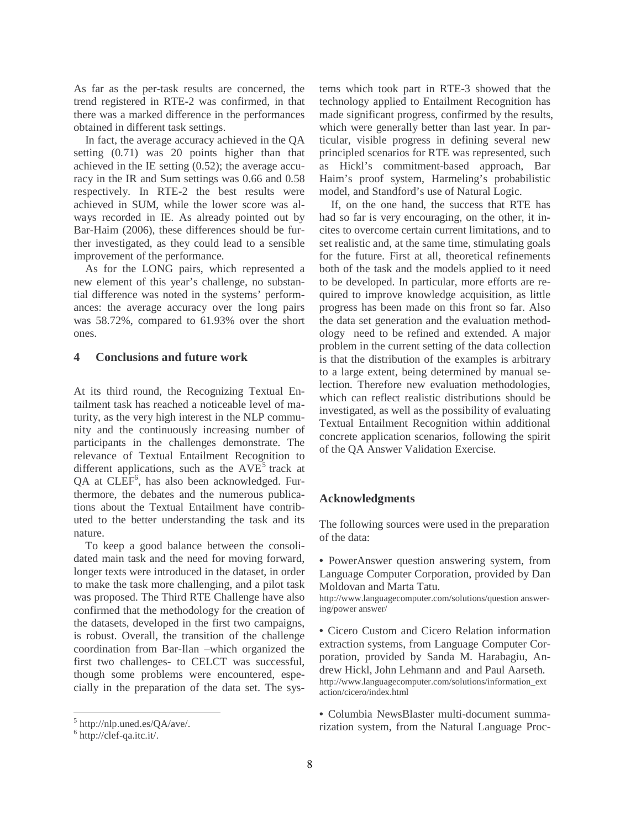As far as the per-task results are concerned, the trend registered in RTE-2 was confirmed, in that there was a marked difference in the performances obtained in different task settings.

In fact, the average accuracy achieved in the QA setting (0.71) was 20 points higher than that achieved in the IE setting (0.52); the average accuracy in the IR and Sum settings was 0.66 and 0.58 respectively. In RTE-2 the best results were achieved in SUM, while the lower score was always recorded in IE. As already pointed out by Bar-Haim (2006), these differences should be further investigated, as they could lead to a sensible improvement of the performance.

As for the LONG pairs, which represented a new element of this year's challenge, no substantial difference was noted in the systems' performances: the average accuracy over the long pairs was 58.72%, compared to 61.93% over the short ones.

## **4 Conclusions and future work**

At its third round, the Recognizing Textual Entailment task has reached a noticeable level of maturity, as the very high interest in the NLP community and the continuously increasing number of participants in the challenges demonstrate. The relevance of Textual Entailment Recognition to different applications, such as the  $AVE<sup>5</sup>$  track at QA at  $CLEF^6$ , has also been acknowledged. Furthermore, the debates and the numerous publications about the Textual Entailment have contributed to the better understanding the task and its nature.

To keep a good balance between the consolidated main task and the need for moving forward, longer texts were introduced in the dataset, in order to make the task more challenging, and a pilot task was proposed. The Third RTE Challenge have also confirmed that the methodology for the creation of the datasets, developed in the first two campaigns, is robust. Overall, the transition of the challenge coordination from Bar-Ilan –which organized the first two challenges- to CELCT was successful, though some problems were encountered, especially in the preparation of the data set. The sys-

tems which took part in RTE-3 showed that the technology applied to Entailment Recognition has made significant progress, confirmed by the results, which were generally better than last year. In particular, visible progress in defining several new principled scenarios for RTE was represented, such as Hickl's commitment-based approach, Bar Haim's proof system, Harmeling's probabilistic model, and Standford's use of Natural Logic.

If, on the one hand, the success that RTE has had so far is very encouraging, on the other, it incites to overcome certain current limitations, and to set realistic and, at the same time, stimulating goals for the future. First at all, theoretical refinements both of the task and the models applied to it need to be developed. In particular, more efforts are required to improve knowledge acquisition, as little progress has been made on this front so far. Also the data set generation and the evaluation methodology need to be refined and extended. A major problem in the current setting of the data collection is that the distribution of the examples is arbitrary to a large extent, being determined by manual selection. Therefore new evaluation methodologies, which can reflect realistic distributions should be investigated, as well as the possibility of evaluating Textual Entailment Recognition within additional concrete application scenarios, following the spirit of the QA Answer Validation Exercise.

## **Acknowledgments**

The following sources were used in the preparation of the data:

• PowerAnswer question answering system, from Language Computer Corporation, provided by Dan Moldovan and Marta Tatu.

http://www.languagecomputer.com/solutions/question answering/power answer/

• Cicero Custom and Cicero Relation information extraction systems, from Language Computer Corporation, provided by Sanda M. Harabagiu, Andrew Hickl, John Lehmann and and Paul Aarseth. http://www.languagecomputer.com/solutions/information\_ext action/cicero/index.html

• Columbia NewsBlaster multi-document summarization system, from the Natural Language Proc-

<sup>5</sup> http://nlp.uned.es/QA/ave/.

<sup>6</sup> http://clef-qa.itc.it/.